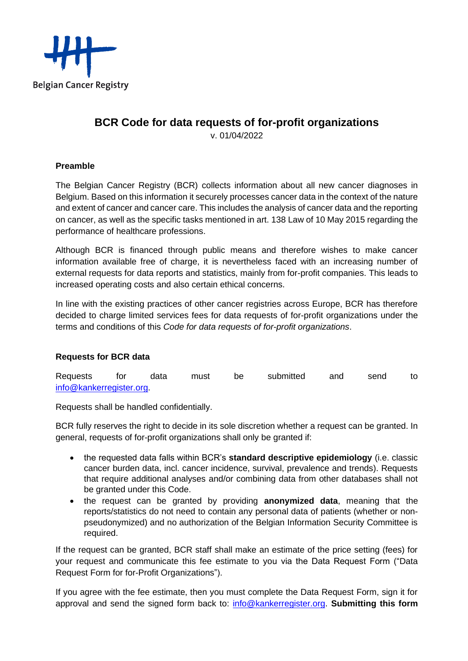

# **BCR Code for data requests of for-profit organizations**

v. 01/04/2022

## **Preamble**

The Belgian Cancer Registry (BCR) collects information about all new cancer diagnoses in Belgium. Based on this information it securely processes cancer data in the context of the nature and extent of cancer and cancer care. This includes the analysis of cancer data and the reporting on cancer, as well as the specific tasks mentioned in art. 138 Law of 10 May 2015 regarding the performance of healthcare professions.

Although BCR is financed through public means and therefore wishes to make cancer information available free of charge, it is nevertheless faced with an increasing number of external requests for data reports and statistics, mainly from for-profit companies. This leads to increased operating costs and also certain ethical concerns.

In line with the existing practices of other cancer registries across Europe, BCR has therefore decided to charge limited services fees for data requests of for-profit organizations under the terms and conditions of this *Code for data requests of for-profit organizations*.

# **Requests for BCR data**

| Requests                | tor | data | must | be | submitted | and | send | to |
|-------------------------|-----|------|------|----|-----------|-----|------|----|
| info@kankerregister.org |     |      |      |    |           |     |      |    |

Requests shall be handled confidentially.

BCR fully reserves the right to decide in its sole discretion whether a request can be granted. In general, requests of for-profit organizations shall only be granted if:

- the requested data falls within BCR's **standard descriptive epidemiology** (i.e. classic cancer burden data, incl. cancer incidence, survival, prevalence and trends). Requests that require additional analyses and/or combining data from other databases shall not be granted under this Code.
- the request can be granted by providing **anonymized data**, meaning that the reports/statistics do not need to contain any personal data of patients (whether or nonpseudonymized) and no authorization of the Belgian Information Security Committee is required.

If the request can be granted, BCR staff shall make an estimate of the price setting (fees) for your request and communicate this fee estimate to you via the Data Request Form ("Data Request Form for for-Profit Organizations").

If you agree with the fee estimate, then you must complete the Data Request Form, sign it for approval and send the signed form back to: [info@kankerregister.org.](mailto:info@kankerregister.org) **Submitting this form**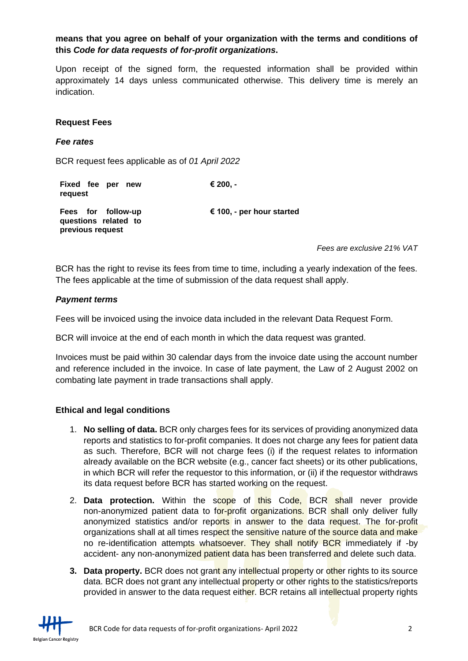## **means that you agree on behalf of your organization with the terms and conditions of this** *Code for data requests of for-profit organizations***.**

Upon receipt of the signed form, the requested information shall be provided within approximately 14 days unless communicated otherwise. This delivery time is merely an indication.

#### **Request Fees**

#### *Fee rates*

BCR request fees applicable as of *01 April 2022*

| Fixed fee per new<br>request                                   | € 200. -                  |
|----------------------------------------------------------------|---------------------------|
| Fees for follow-up<br>questions related to<br>previous request | € 100, - per hour started |

*Fees are exclusive 21% VAT*

BCR has the right to revise its fees from time to time, including a yearly indexation of the fees. The fees applicable at the time of submission of the data request shall apply.

#### *Payment terms*

Fees will be invoiced using the invoice data included in the relevant Data Request Form.

BCR will invoice at the end of each month in which the data request was granted.

Invoices must be paid within 30 calendar days from the invoice date using the account number and reference included in the invoice. In case of late payment, the Law of 2 August 2002 on combating late payment in trade transactions shall apply.

### **Ethical and legal conditions**

- 1. **No selling of data.** BCR only charges fees for its services of providing anonymized data reports and statistics to for-profit companies. It does not charge any fees for patient data as such. Therefore, BCR will not charge fees (i) if the request relates to information already available on the BCR website (e.g., cancer fact sheets) or its other publications, in which BCR will refer the requestor to this information, or (ii) if the requestor withdraws its data request before BCR has started working on the request.
- 2. **Data protection.** Within the scope of this Code, BCR shall never provide non-anonymized patient data to for-profit organizations. BCR shall only deliver fully anonymized statistics and/or reports in answer to the data request. The for-profit organizations shall at all times respect the sensitive nature of the source data and make no re-identification attempts whatsoever. They shall notify BCR immediately if -by accident- any non-anonymized patient data has been transferred and delete such data.
- **3. Data property.** BCR does not grant any intellectual property or other rights to its source data. BCR does not grant any intellectual **property or other rights to the statistics/reports** provided in answer to the data request either. BCR retains all intellectual property rights